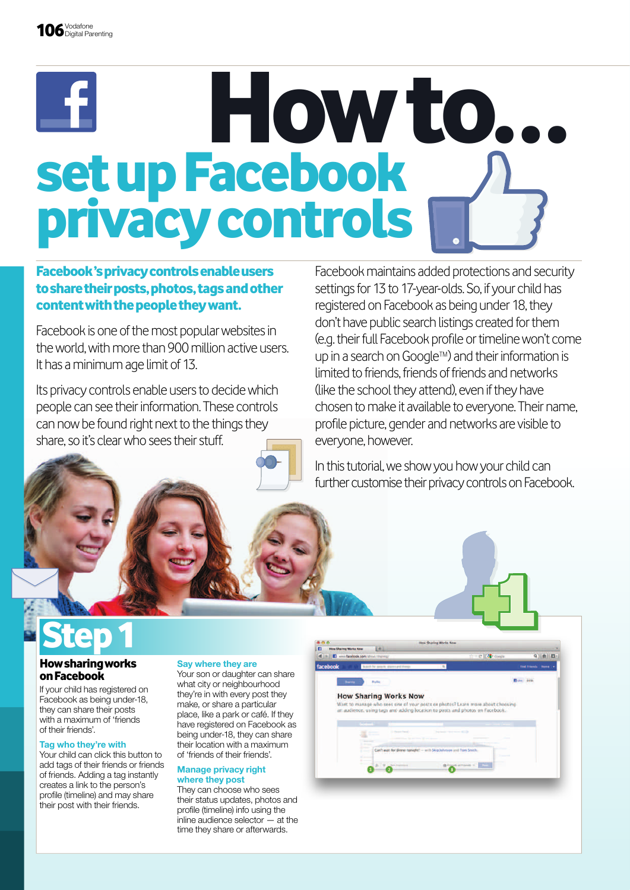# how to… set up Facebook privacy controls

### Facebook 's privacy controls enable users to share their posts, photos, tags and other content with the people they want.

Facebook is one of the most popular websites in the world, with more than 900 million active users. It has a minimum age limit of 13.

Its privacy controls enable users to decide which people can see their information. These controls can now be found right next to the things they share, so it's clear who sees their stuff.

Facebook maintains added protections and security settings for 13 to 17-year-olds. So, if your child has registered on Facebook as being under 18, they don't have public search listings created for them (e.g. their full Facebook profle or timeline won't come up in a search on Google™) and their information is limited to friends, friends of friends and networks (like the school they attend), even if they have chosen to make it available to everyone. Their name, profle picture, gender and networks are visible to everyone, however.

In this tutorial, we show you how your child can further customise their privacy controls on Facebook.

### **Step 1**

### how sharing works on Facebook

If your child has registered on Facebook as being under-18, they can share their posts with a maximum of 'friends of their friends'.

#### Tag who they're with

Your child can click this button to add tags of their friends or friends of friends. Adding a tag instantly creates a link to the person's profile (timeline) and may share their post with their friends.

#### Say where they are

Your son or daughter can share what city or neighbourhood they're in with every post they make, or share a particular place, like a park or café. If they have registered on Facebook as being under-18, they can share their location with a maximum of 'friends of their friends'.

#### Manage privacy right where they post

They can choose who sees their status updates, photos and profile (timeline) info using the inline audience selector — at the time they share or afterwards.

|  | <b>How Sharing Works Now</b>                                      | Want to manage who sees one of your posts or photos? Learn more about choosing- |                      |  |
|--|-------------------------------------------------------------------|---------------------------------------------------------------------------------|----------------------|--|
|  |                                                                   | an audience, using tags and adding location to posts and photos on Facebook.    |                      |  |
|  |                                                                   |                                                                                 |                      |  |
|  | <b>Children</b> of Farmer<br>provided the personal of the process |                                                                                 |                      |  |
|  |                                                                   | Can't wait for direct tanight! - with \$4:p Johnson and Tom Smith.              |                      |  |
|  |                                                                   |                                                                                 | <b>Science Adams</b> |  |
|  | C. Bara Francisco                                                 | di al france le 1979                                                            |                      |  |

**How Sharing Works Now** 

 $-4$ 

TAL